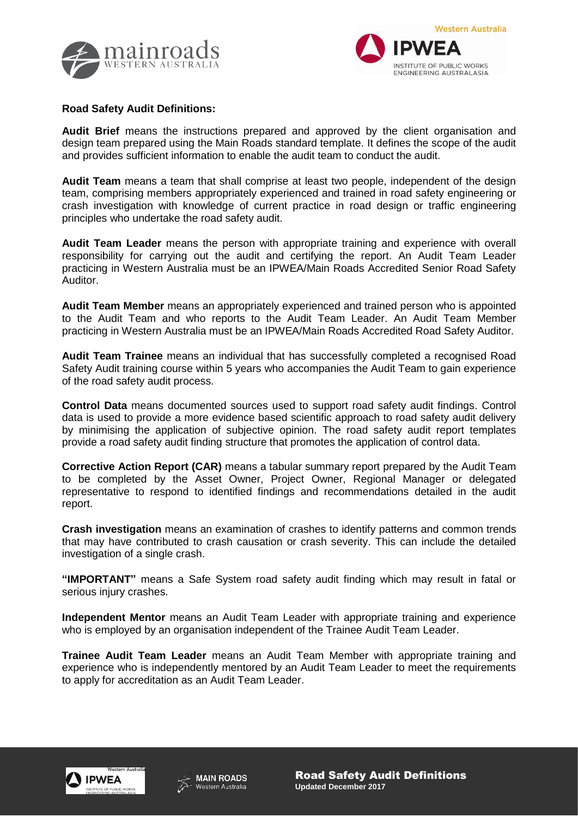



## **Road Safety Audit Definitions:**

**Audit Brief** means the instructions prepared and approved by the client organisation and design team prepared using the Main Roads standard template. It defines the scope of the audit and provides sufficient information to enable the audit team to conduct the audit.

**Audit Team** means a team that shall comprise at least two people, independent of the design team, comprising members appropriately experienced and trained in road safety engineering or crash investigation with knowledge of current practice in road design or traffic engineering principles who undertake the road safety audit.

**Audit Team Leader** means the person with appropriate training and experience with overall responsibility for carrying out the audit and certifying the report. An Audit Team Leader practicing in Western Australia must be an IPWEA/Main Roads Accredited Senior Road Safety Auditor.

**Audit Team Member** means an appropriately experienced and trained person who is appointed to the Audit Team and who reports to the Audit Team Leader. An Audit Team Member practicing in Western Australia must be an IPWEA/Main Roads Accredited Road Safety Auditor.

**Audit Team Trainee** means an individual that has successfully completed a recognised Road Safety Audit training course within 5 years who accompanies the Audit Team to gain experience of the road safety audit process.

**Control Data** means documented sources used to support road safety audit findings. Control data is used to provide a more evidence based scientific approach to road safety audit delivery by minimising the application of subjective opinion. The road safety audit report templates provide a road safety audit finding structure that promotes the application of control data.

**Corrective Action Report (CAR)** means a tabular summary report prepared by the Audit Team to be completed by the Asset Owner, Project Owner, Regional Manager or delegated representative to respond to identified findings and recommendations detailed in the audit report.

**Crash investigation** means an examination of crashes to identify patterns and common trends that may have contributed to crash causation or crash severity. This can include the detailed investigation of a single crash.

**"IMPORTANT"** means a Safe System road safety audit finding which may result in fatal or serious injury crashes.

**Independent Mentor** means an Audit Team Leader with appropriate training and experience who is employed by an organisation independent of the Trainee Audit Team Leader.

**Trainee Audit Team Leader** means an Audit Team Member with appropriate training and experience who is independently mentored by an Audit Team Leader to meet the requirements to apply for accreditation as an Audit Team Leader.



**MAIN ROADS** Western Australia

Road Safety Audit Definitions **Updated December 2017**